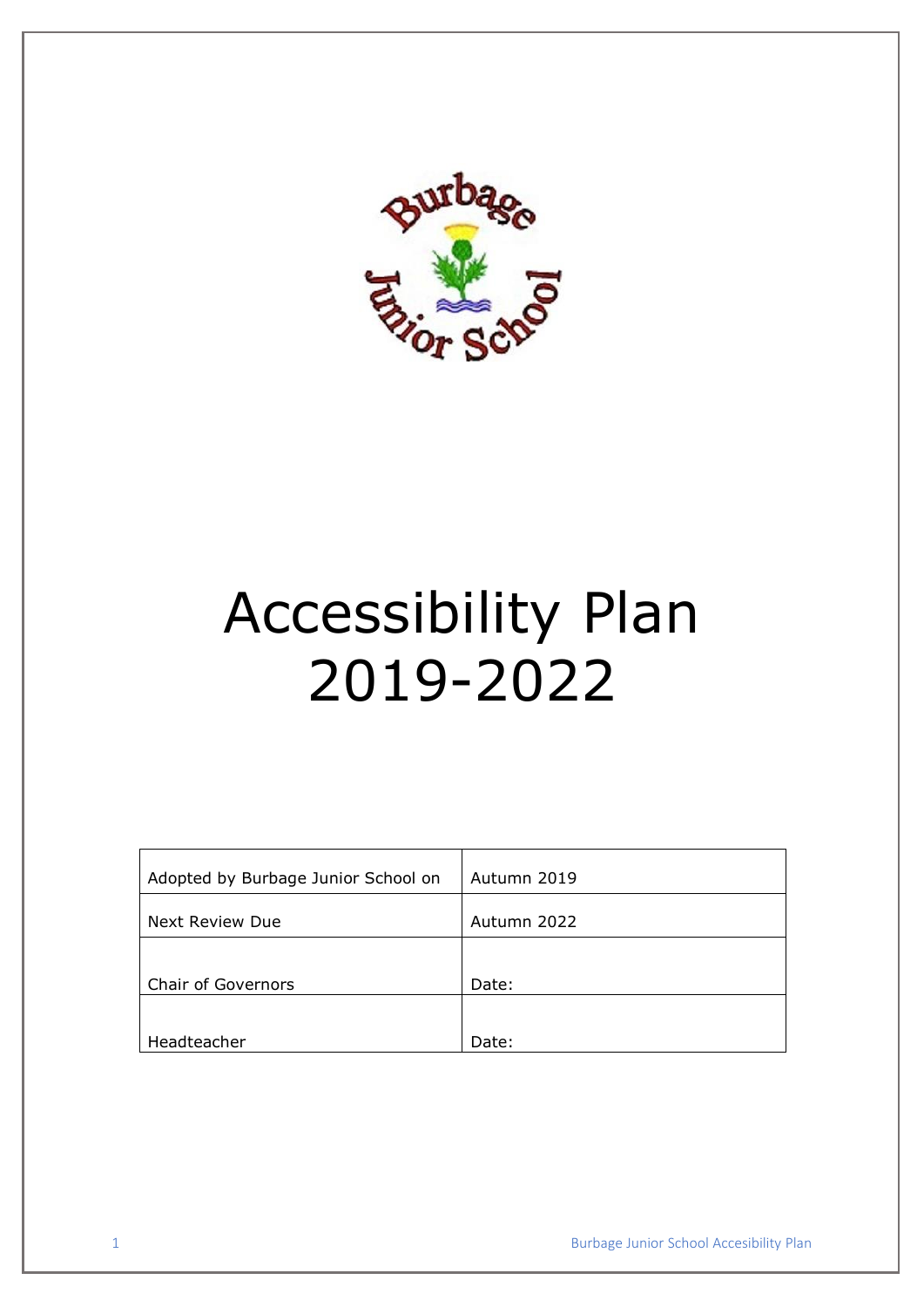

# Accessibility Plan 2019-2022

| Adopted by Burbage Junior School on | Autumn 2019 |
|-------------------------------------|-------------|
| Next Review Due                     | Autumn 2022 |
|                                     |             |
| <b>Chair of Governors</b>           | Date:       |
|                                     |             |
| Headteacher                         | Date:       |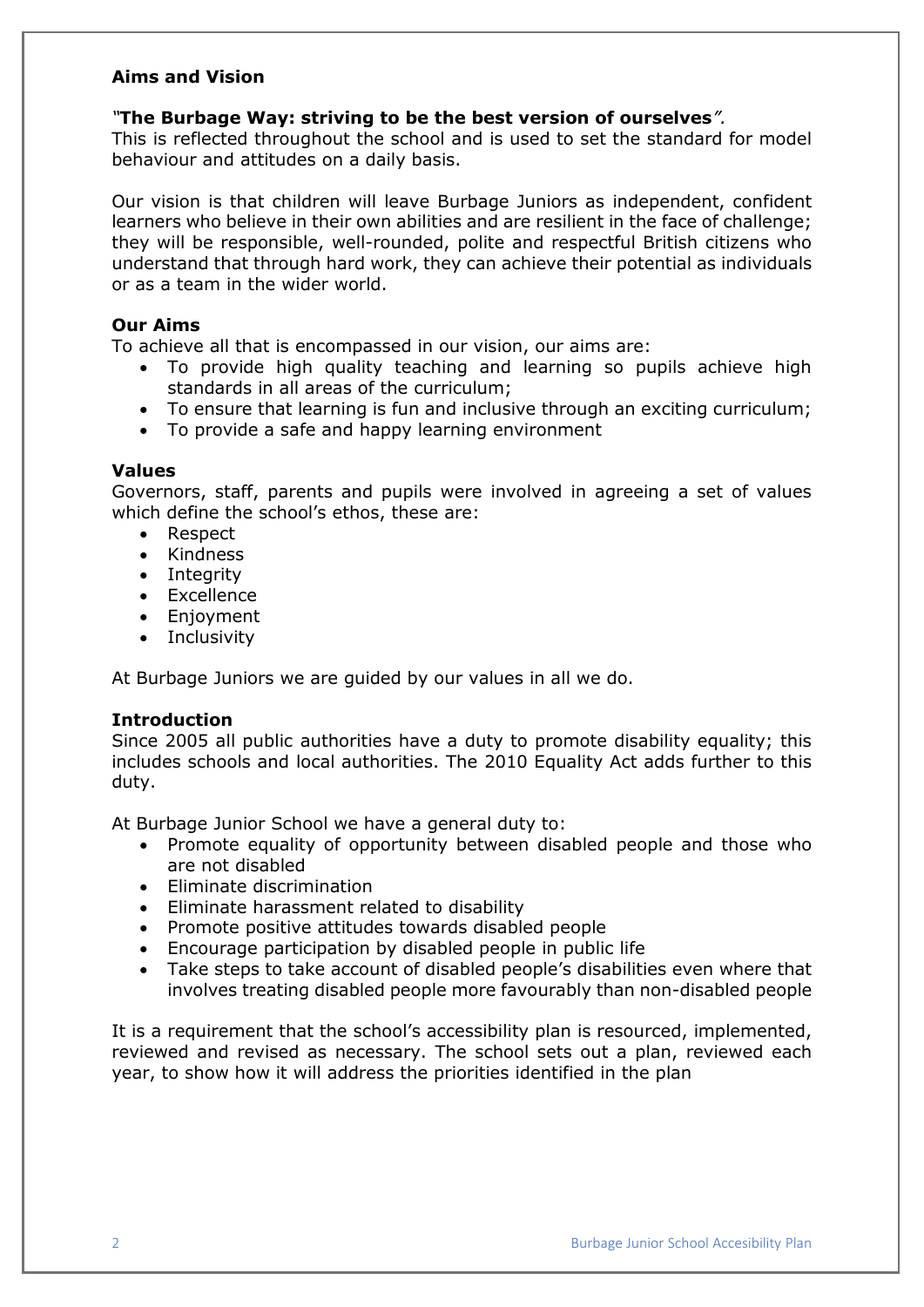# **Aims and Vision**

### *"***The Burbage Way: striving to be the best version of ourselves***".*

This is reflected throughout the school and is used to set the standard for model behaviour and attitudes on a daily basis.

Our vision is that children will leave Burbage Juniors as independent, confident learners who believe in their own abilities and are resilient in the face of challenge; they will be responsible, well-rounded, polite and respectful British citizens who understand that through hard work, they can achieve their potential as individuals or as a team in the wider world.

#### **Our Aims**

To achieve all that is encompassed in our vision, our aims are:

- To provide high quality teaching and learning so pupils achieve high standards in all areas of the curriculum;
- To ensure that learning is fun and inclusive through an exciting curriculum;
- To provide a safe and happy learning environment

# **Values**

Governors, staff, parents and pupils were involved in agreeing a set of values which define the school's ethos, these are:

- Respect
- Kindness
- Integrity
- Excellence
- Enjoyment
- Inclusivity

At Burbage Juniors we are guided by our values in all we do.

### **Introduction**

Since 2005 all public authorities have a duty to promote disability equality; this includes schools and local authorities. The 2010 Equality Act adds further to this duty.

At Burbage Junior School we have a general duty to:

- Promote equality of opportunity between disabled people and those who are not disabled
- Eliminate discrimination
- Eliminate harassment related to disability
- Promote positive attitudes towards disabled people
- Encourage participation by disabled people in public life
- Take steps to take account of disabled people's disabilities even where that involves treating disabled people more favourably than non-disabled people

It is a requirement that the school's accessibility plan is resourced, implemented, reviewed and revised as necessary. The school sets out a plan, reviewed each year, to show how it will address the priorities identified in the plan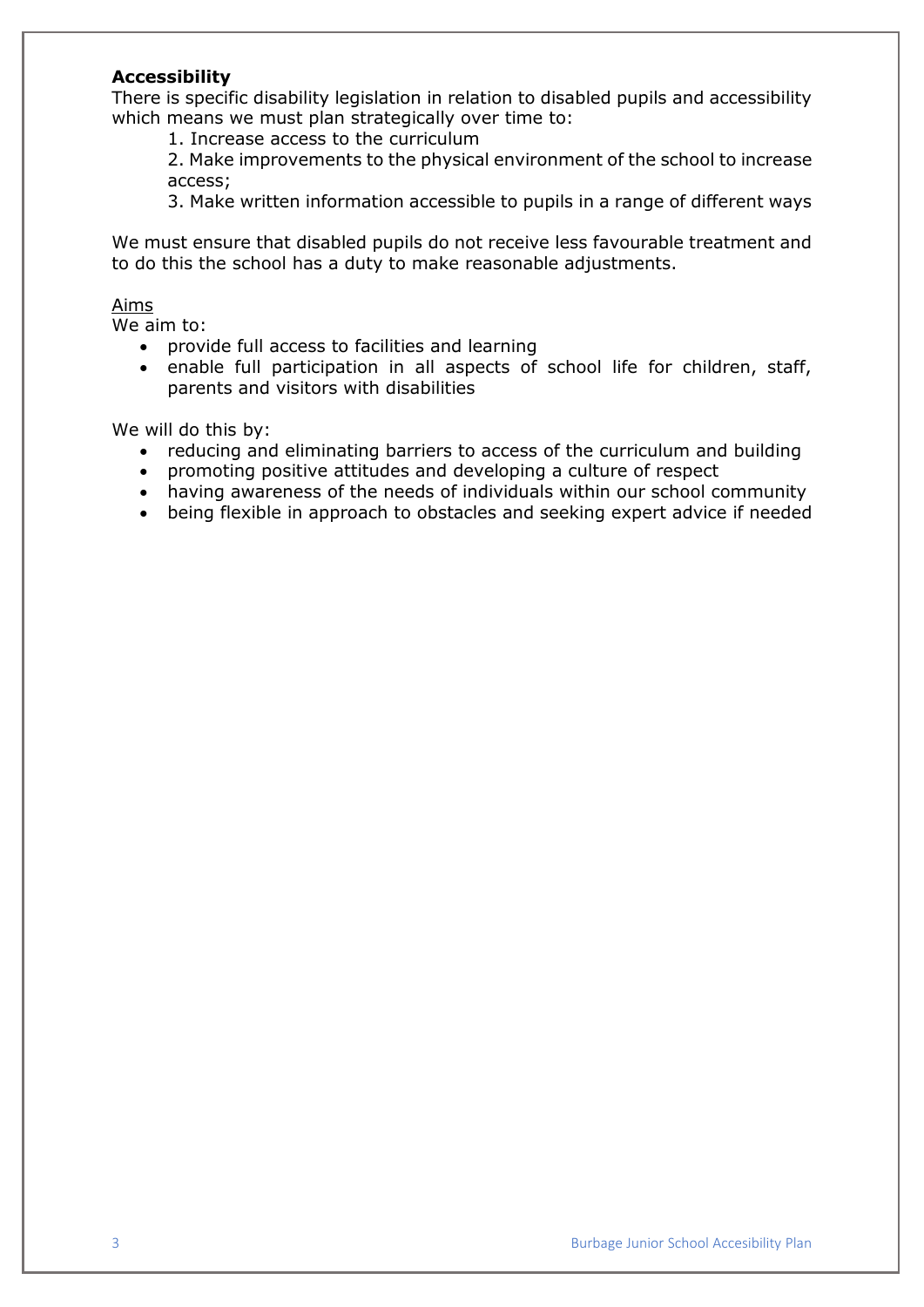# **Accessibility**

There is specific disability legislation in relation to disabled pupils and accessibility which means we must plan strategically over time to:

1. Increase access to the curriculum

2. Make improvements to the physical environment of the school to increase access;

3. Make written information accessible to pupils in a range of different ways

We must ensure that disabled pupils do not receive less favourable treatment and to do this the school has a duty to make reasonable adjustments.

### Aims

We aim to:

- provide full access to facilities and learning
- enable full participation in all aspects of school life for children, staff, parents and visitors with disabilities

We will do this by:

- reducing and eliminating barriers to access of the curriculum and building
- promoting positive attitudes and developing a culture of respect
- having awareness of the needs of individuals within our school community
- being flexible in approach to obstacles and seeking expert advice if needed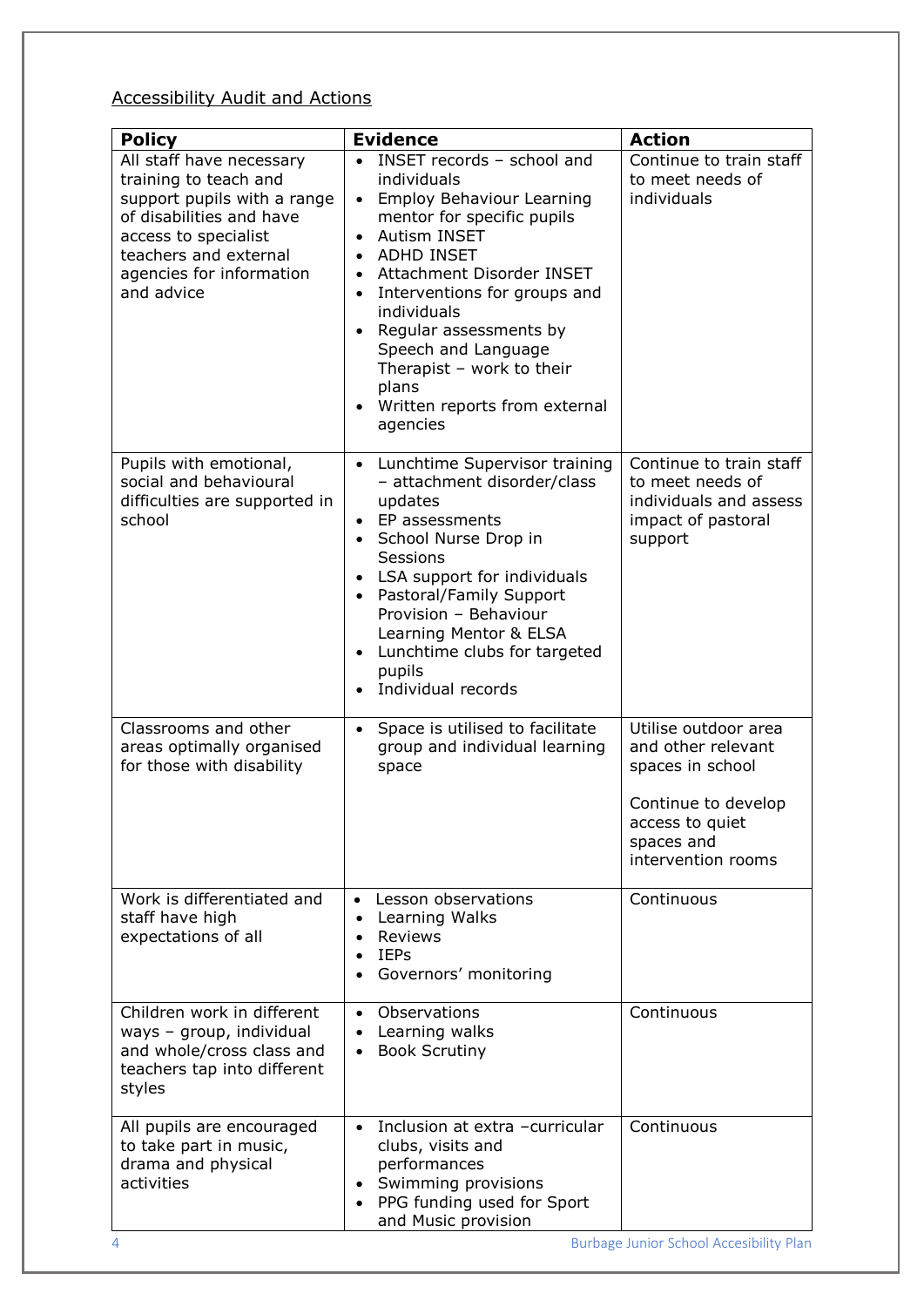# Accessibility Audit and Actions

| <b>Policy</b>                                                                                                                                                                                           | <b>Evidence</b>                                                                                                                                                                                                                                                                                                                                                                                                                                             | <b>Action</b>                                                                                                                                |
|---------------------------------------------------------------------------------------------------------------------------------------------------------------------------------------------------------|-------------------------------------------------------------------------------------------------------------------------------------------------------------------------------------------------------------------------------------------------------------------------------------------------------------------------------------------------------------------------------------------------------------------------------------------------------------|----------------------------------------------------------------------------------------------------------------------------------------------|
| All staff have necessary<br>training to teach and<br>support pupils with a range<br>of disabilities and have<br>access to specialist<br>teachers and external<br>agencies for information<br>and advice | INSET records - school and<br>individuals<br><b>Employ Behaviour Learning</b><br>$\bullet$<br>mentor for specific pupils<br><b>Autism INSET</b><br>$\bullet$<br>ADHD INSET<br>$\bullet$<br>Attachment Disorder INSET<br>$\bullet$<br>Interventions for groups and<br>$\bullet$<br>individuals<br>Regular assessments by<br>$\bullet$<br>Speech and Language<br>Therapist - work to their<br>plans<br>Written reports from external<br>$\bullet$<br>agencies | Continue to train staff<br>to meet needs of<br>individuals                                                                                   |
| Pupils with emotional,<br>social and behavioural<br>difficulties are supported in<br>school                                                                                                             | Lunchtime Supervisor training<br>$\bullet$<br>- attachment disorder/class<br>updates<br>EP assessments<br>$\bullet$<br>• School Nurse Drop in<br>Sessions<br>• LSA support for individuals<br>• Pastoral/Family Support<br>Provision - Behaviour<br>Learning Mentor & ELSA<br>Lunchtime clubs for targeted<br>$\bullet$<br>pupils<br>Individual records                                                                                                     | Continue to train staff<br>to meet needs of<br>individuals and assess<br>impact of pastoral<br>support                                       |
| Classrooms and other<br>areas optimally organised<br>for those with disability                                                                                                                          | Space is utilised to facilitate<br>$\bullet$<br>group and individual learning<br>space                                                                                                                                                                                                                                                                                                                                                                      | Utilise outdoor area<br>and other relevant<br>spaces in school<br>Continue to develop<br>access to quiet<br>spaces and<br>intervention rooms |
| Work is differentiated and<br>staff have high<br>expectations of all                                                                                                                                    | Lesson observations<br>$\bullet$<br>Learning Walks<br>$\bullet$<br><b>Reviews</b><br>$\bullet$<br><b>IEPs</b><br>$\bullet$<br>Governors' monitoring<br>$\bullet$                                                                                                                                                                                                                                                                                            | Continuous                                                                                                                                   |
| Children work in different<br>ways - group, individual<br>and whole/cross class and<br>teachers tap into different<br>styles                                                                            | Observations<br>$\bullet$<br>Learning walks<br>$\bullet$<br><b>Book Scrutiny</b><br>$\bullet$                                                                                                                                                                                                                                                                                                                                                               | Continuous                                                                                                                                   |
| All pupils are encouraged<br>to take part in music,<br>drama and physical<br>activities                                                                                                                 | Inclusion at extra -curricular<br>$\bullet$<br>clubs, visits and<br>performances<br>Swimming provisions<br>$\bullet$<br>PPG funding used for Sport<br>$\bullet$<br>and Music provision                                                                                                                                                                                                                                                                      | Continuous<br><b>Burbage Junior School Accesibility Plan</b>                                                                                 |